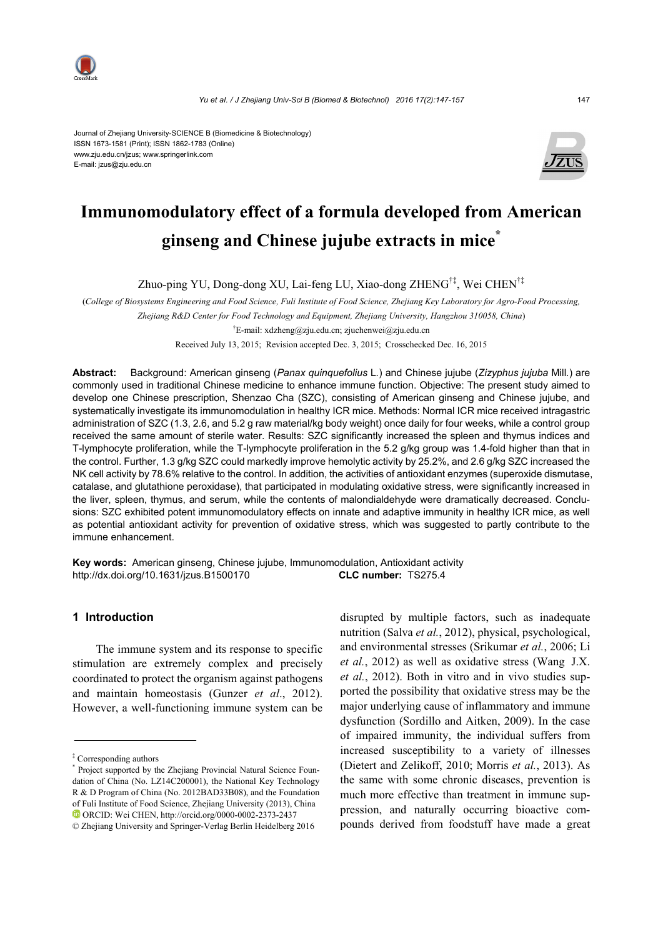

Journal of Zhejiang University-SCIENCE B (Biomedicine & Biotechnology) ISSN 1673-1581 (Print); ISSN 1862-1783 (Online) www.zju.edu.cn/jzus; www.springerlink.com E-mail: jzus@zju.edu.cn



# **Immunomodulatory effect of a formula developed from American ginseng and Chinese jujube extracts in mice\***

Zhuo-ping YU, Dong-dong XU, Lai-feng LU, Xiao-dong ZHENG†‡, Wei CHEN†‡

(*College of Biosystems Engineering and Food Science, Fuli Institute of Food Science, Zhejiang Key Laboratory for Agro-Food Processing, Zhejiang R&D Center for Food Technology and Equipment, Zhejiang University, Hangzhou 310058, China*) † E-mail: xdzheng@zju.edu.cn; zjuchenwei@zju.edu.cn

Received July 13, 2015; Revision accepted Dec. 3, 2015; Crosschecked Dec. 16, 2015

**Abstract:** Background: American ginseng (*Panax quinquefolius* L*.*) and Chinese jujube (*Zizyphus jujuba* Mill*.*) are commonly used in traditional Chinese medicine to enhance immune function. Objective: The present study aimed to develop one Chinese prescription, Shenzao Cha (SZC), consisting of American ginseng and Chinese jujube, and systematically investigate its immunomodulation in healthy ICR mice. Methods: Normal ICR mice received intragastric administration of SZC (1.3, 2.6, and 5.2 g raw material/kg body weight) once daily for four weeks, while a control group received the same amount of sterile water. Results: SZC significantly increased the spleen and thymus indices and T-lymphocyte proliferation, while the T-lymphocyte proliferation in the 5.2 g/kg group was 1.4-fold higher than that in the control. Further, 1.3 g/kg SZC could markedly improve hemolytic activity by 25.2%, and 2.6 g/kg SZC increased the NK cell activity by 78.6% relative to the control. In addition, the activities of antioxidant enzymes (superoxide dismutase, catalase, and glutathione peroxidase), that participated in modulating oxidative stress, were significantly increased in the liver, spleen, thymus, and serum, while the contents of malondialdehyde were dramatically decreased. Conclusions: SZC exhibited potent immunomodulatory effects on innate and adaptive immunity in healthy ICR mice, as well as potential antioxidant activity for prevention of oxidative stress, which was suggested to partly contribute to the immune enhancement.

**Key words:** American ginseng, Chinese jujube, Immunomodulation, Antioxidant activity http://dx.doi.org/10.1631/jzus.B1500170 **CLC number:** TS275.4

## **1 Introduction**

The immune system and its response to specific stimulation are extremely complex and precisely coordinated to protect the organism against pathogens and maintain homeostasis (Gunzer *et al*., 2012). However, a well-functioning immune system can be disrupted by multiple factors, such as inadequate nutrition (Salva *et al.*, 2012), physical, psychological, and environmental stresses (Srikumar *et al.*, 2006; Li *et al.*, 2012) as well as oxidative stress (Wang J.X. *et al.*, 2012). Both in vitro and in vivo studies supported the possibility that oxidative stress may be the major underlying cause of inflammatory and immune dysfunction (Sordillo and Aitken, 2009). In the case of impaired immunity, the individual suffers from increased susceptibility to a variety of illnesses (Dietert and Zelikoff, 2010; Morris *et al.*, 2013). As the same with some chronic diseases, prevention is much more effective than treatment in immune suppression, and naturally occurring bioactive compounds derived from foodstuff have made a great

<sup>‡</sup> Corresponding authors

<sup>\*</sup> Project supported by the Zhejiang Provincial Natural Science Foundation of China (No. LZ14C200001), the National Key Technology R & D Program of China (No. 2012BAD33B08), and the Foundation of Fuli Institute of Food Science, Zhejiang University (2013), China ORCID: Wei CHEN, http://orcid.org/0000-0002-2373-2437

<sup>©</sup> Zhejiang University and Springer-Verlag Berlin Heidelberg 2016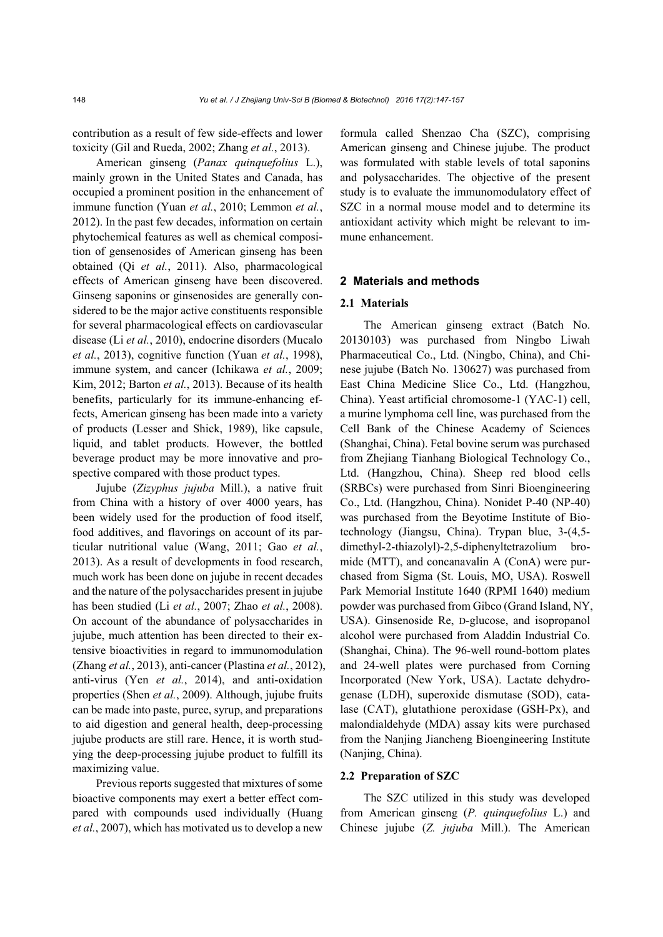contribution as a result of few side-effects and lower toxicity (Gil and Rueda, 2002; Zhang *et al.*, 2013).

American ginseng (*Panax quinquefolius* L.), mainly grown in the United States and Canada, has occupied a prominent position in the enhancement of immune function (Yuan *et al.*, 2010; Lemmon *et al.*, 2012). In the past few decades, information on certain phytochemical features as well as chemical composition of gensenosides of American ginseng has been obtained (Qi *et al.*, 2011). Also, pharmacological effects of American ginseng have been discovered. Ginseng saponins or ginsenosides are generally considered to be the major active constituents responsible for several pharmacological effects on cardiovascular disease (Li *et al.*, 2010), endocrine disorders (Mucalo *et al.*, 2013), cognitive function (Yuan *et al.*, 1998), immune system, and cancer (Ichikawa *et al.*, 2009; Kim, 2012; Barton *et al.*, 2013). Because of its health benefits, particularly for its immune-enhancing effects, American ginseng has been made into a variety of products (Lesser and Shick, 1989), like capsule, liquid, and tablet products. However, the bottled beverage product may be more innovative and prospective compared with those product types.

Jujube (*Zizyphus jujuba* Mill.), a native fruit from China with a history of over 4000 years, has been widely used for the production of food itself, food additives, and flavorings on account of its particular nutritional value (Wang, 2011; Gao *et al.*, 2013). As a result of developments in food research, much work has been done on jujube in recent decades and the nature of the polysaccharides present in jujube has been studied (Li *et al.*, 2007; Zhao *et al.*, 2008). On account of the abundance of polysaccharides in jujube, much attention has been directed to their extensive bioactivities in regard to immunomodulation (Zhang *et al.*, 2013), anti-cancer (Plastina *et al.*, 2012), anti-virus (Yen *et al.*, 2014), and anti-oxidation properties (Shen *et al.*, 2009). Although, jujube fruits can be made into paste, puree, syrup, and preparations to aid digestion and general health, deep-processing jujube products are still rare. Hence, it is worth studying the deep-processing jujube product to fulfill its maximizing value.

Previous reports suggested that mixtures of some bioactive components may exert a better effect compared with compounds used individually (Huang *et al.*, 2007), which has motivated us to develop a new formula called Shenzao Cha (SZC), comprising American ginseng and Chinese jujube. The product was formulated with stable levels of total saponins and polysaccharides. The objective of the present study is to evaluate the immunomodulatory effect of SZC in a normal mouse model and to determine its antioxidant activity which might be relevant to immune enhancement.

#### **2 Materials and methods**

#### **2.1 Materials**

The American ginseng extract (Batch No. 20130103) was purchased from Ningbo Liwah Pharmaceutical Co., Ltd. (Ningbo, China), and Chinese jujube (Batch No. 130627) was purchased from East China Medicine Slice Co., Ltd. (Hangzhou, China). Yeast artificial chromosome-1 (YAC-1) cell, a murine lymphoma cell line, was purchased from the Cell Bank of the Chinese Academy of Sciences (Shanghai, China). Fetal bovine serum was purchased from Zhejiang Tianhang Biological Technology Co., Ltd. (Hangzhou, China). Sheep red blood cells (SRBCs) were purchased from Sinri Bioengineering Co., Ltd. (Hangzhou, China). Nonidet P-40 (NP-40) was purchased from the Beyotime Institute of Biotechnology (Jiangsu, China). Trypan blue, 3-(4,5 dimethyl-2-thiazolyl)-2,5-diphenyltetrazolium bromide (MTT), and concanavalin A (ConA) were purchased from Sigma (St. Louis, MO, USA). Roswell Park Memorial Institute 1640 (RPMI 1640) medium powder was purchased from Gibco (Grand Island, NY, USA). Ginsenoside Re, D-glucose, and isopropanol alcohol were purchased from Aladdin Industrial Co. (Shanghai, China). The 96-well round-bottom plates and 24-well plates were purchased from Corning Incorporated (New York, USA). Lactate dehydrogenase (LDH), superoxide dismutase (SOD), catalase (CAT), glutathione peroxidase (GSH-Px), and malondialdehyde (MDA) assay kits were purchased from the Nanjing Jiancheng Bioengineering Institute (Nanjing, China).

#### **2.2 Preparation of SZC**

The SZC utilized in this study was developed from American ginseng (*P. quinquefolius* L.) and Chinese jujube (*Z. jujuba* Mill.). The American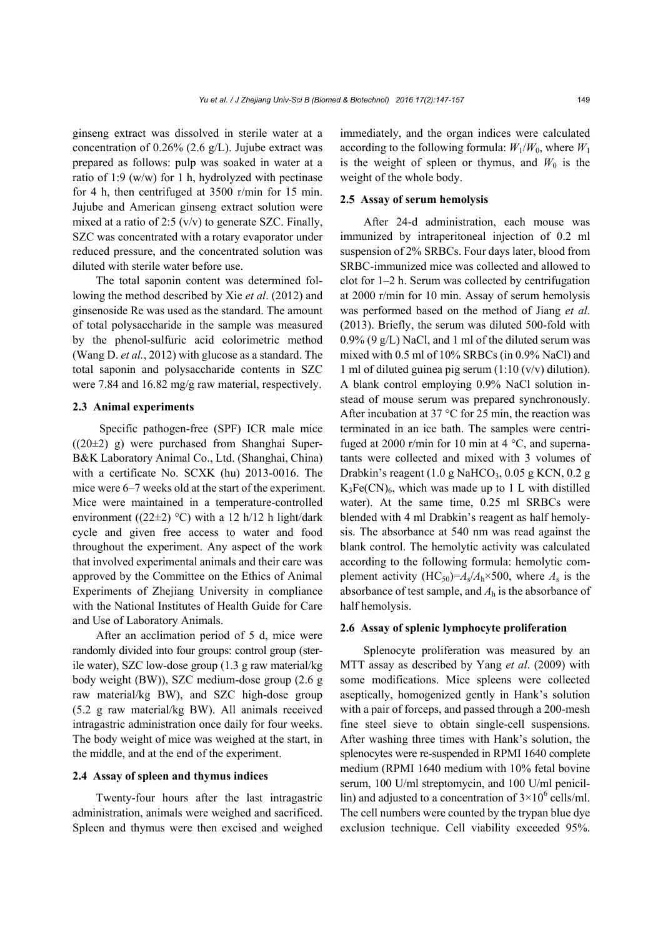ginseng extract was dissolved in sterile water at a concentration of 0.26% (2.6 g/L). Jujube extract was prepared as follows: pulp was soaked in water at a ratio of 1:9 (w/w) for 1 h, hydrolyzed with pectinase for 4 h, then centrifuged at 3500 r/min for 15 min. Jujube and American ginseng extract solution were mixed at a ratio of 2:5  $(v/v)$  to generate SZC. Finally, SZC was concentrated with a rotary evaporator under reduced pressure, and the concentrated solution was diluted with sterile water before use.

The total saponin content was determined following the method described by Xie *et al*. (2012) and ginsenoside Re was used as the standard. The amount of total polysaccharide in the sample was measured by the phenol-sulfuric acid colorimetric method (Wang D. *et al.*, 2012) with glucose as a standard. The total saponin and polysaccharide contents in SZC were 7.84 and 16.82 mg/g raw material, respectively.

## **2.3 Animal experiments**

Specific pathogen-free (SPF) ICR male mice  $((20±2)$  g) were purchased from Shanghai Super-B&K Laboratory Animal Co., Ltd. (Shanghai, China) with a certificate No. SCXK (hu) 2013-0016. The mice were 6–7 weeks old at the start of the experiment. Mice were maintained in a temperature-controlled environment ((22 $\pm$ 2) °C) with a 12 h/12 h light/dark cycle and given free access to water and food throughout the experiment. Any aspect of the work that involved experimental animals and their care was approved by the Committee on the Ethics of Animal Experiments of Zhejiang University in compliance with the National Institutes of Health Guide for Care and Use of Laboratory Animals.

After an acclimation period of 5 d, mice were randomly divided into four groups: control group (sterile water), SZC low-dose group (1.3 g raw material/kg body weight (BW)), SZC medium-dose group (2.6 g raw material/kg BW), and SZC high-dose group (5.2 g raw material/kg BW). All animals received intragastric administration once daily for four weeks. The body weight of mice was weighed at the start, in the middle, and at the end of the experiment.

#### **2.4 Assay of spleen and thymus indices**

Twenty-four hours after the last intragastric administration, animals were weighed and sacrificed. Spleen and thymus were then excised and weighed immediately, and the organ indices were calculated according to the following formula:  $W_1/W_0$ , where  $W_1$ is the weight of spleen or thymus, and  $W_0$  is the weight of the whole body.

## **2.5 Assay of serum hemolysis**

After 24-d administration, each mouse was immunized by intraperitoneal injection of 0.2 ml suspension of 2% SRBCs. Four days later, blood from SRBC-immunized mice was collected and allowed to clot for 1–2 h. Serum was collected by centrifugation at 2000 r/min for 10 min. Assay of serum hemolysis was performed based on the method of Jiang *et al*. (2013). Briefly, the serum was diluted 500-fold with 0.9% (9 g/L) NaCl, and 1 ml of the diluted serum was mixed with 0.5 ml of 10% SRBCs (in 0.9% NaCl) and 1 ml of diluted guinea pig serum (1:10 (v/v) dilution). A blank control employing 0.9% NaCl solution instead of mouse serum was prepared synchronously. After incubation at 37 °C for 25 min, the reaction was terminated in an ice bath. The samples were centrifuged at 2000 r/min for 10 min at 4  $^{\circ}$ C, and supernatants were collected and mixed with 3 volumes of Drabkin's reagent  $(1.0 \text{ g NaHCO}_3, 0.05 \text{ g KCN}, 0.2 \text{ g})$  $K_3Fe(CN)_6$ , which was made up to 1 L with distilled water). At the same time, 0.25 ml SRBCs were blended with 4 ml Drabkin's reagent as half hemolysis. The absorbance at 540 nm was read against the blank control. The hemolytic activity was calculated according to the following formula: hemolytic complement activity  $(HC_{50})=A_s/A_h \times 500$ , where  $A_s$  is the absorbance of test sample, and *A*h is the absorbance of half hemolysis.

#### **2.6 Assay of splenic lymphocyte proliferation**

Splenocyte proliferation was measured by an MTT assay as described by Yang *et al*. (2009) with some modifications. Mice spleens were collected aseptically, homogenized gently in Hank's solution with a pair of forceps, and passed through a 200-mesh fine steel sieve to obtain single-cell suspensions. After washing three times with Hank's solution, the splenocytes were re-suspended in RPMI 1640 complete medium (RPMI 1640 medium with 10% fetal bovine serum, 100 U/ml streptomycin, and 100 U/ml penicillin) and adjusted to a concentration of  $3 \times 10^6$  cells/ml. The cell numbers were counted by the trypan blue dye exclusion technique. Cell viability exceeded 95%.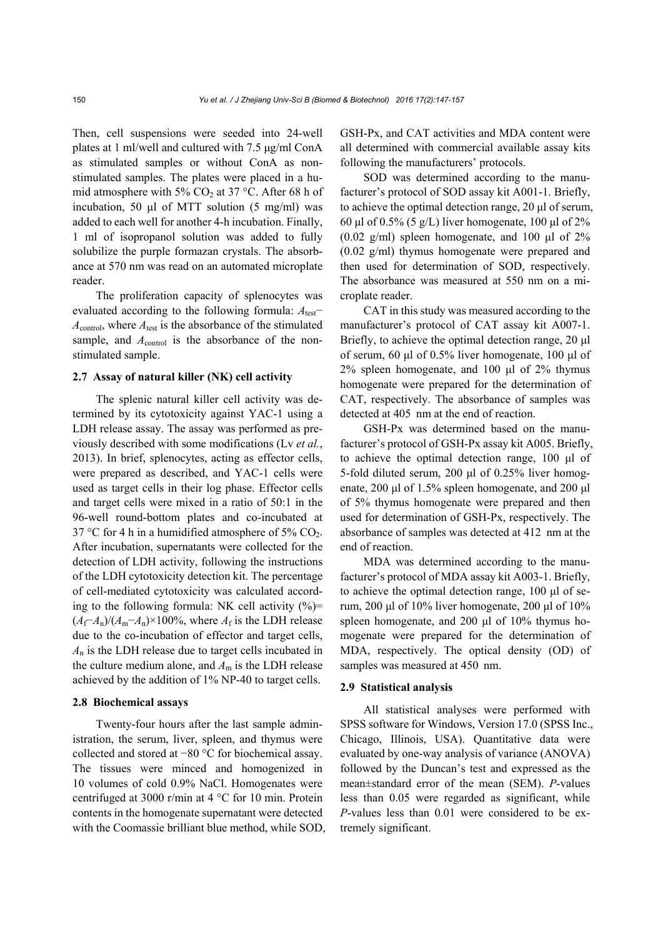Then, cell suspensions were seeded into 24-well plates at 1 ml/well and cultured with 7.5 μg/ml ConA as stimulated samples or without ConA as nonstimulated samples. The plates were placed in a humid atmosphere with 5%  $CO<sub>2</sub>$  at 37 °C. After 68 h of incubation, 50 μl of MTT solution (5 mg/ml) was added to each well for another 4-h incubation. Finally, 1 ml of isopropanol solution was added to fully solubilize the purple formazan crystals. The absorbance at 570 nm was read on an automated microplate reader.

The proliferation capacity of splenocytes was evaluated according to the following formula: *A*test− *A*control, where *A*test is the absorbance of the stimulated sample, and  $A_{control}$  is the absorbance of the nonstimulated sample.

#### **2.7 Assay of natural killer (NK) cell activity**

The splenic natural killer cell activity was determined by its cytotoxicity against YAC-1 using a LDH release assay. The assay was performed as previously described with some modifications (Lv *et al.*, 2013). In brief, splenocytes, acting as effector cells, were prepared as described, and YAC-1 cells were used as target cells in their log phase. Effector cells and target cells were mixed in a ratio of 50:1 in the 96-well round-bottom plates and co-incubated at 37 °C for 4 h in a humidified atmosphere of 5%  $CO<sub>2</sub>$ . After incubation, supernatants were collected for the detection of LDH activity, following the instructions of the LDH cytotoxicity detection kit. The percentage of cell-mediated cytotoxicity was calculated according to the following formula: NK cell activity  $(\% )$ =  $(A_f - A_n)/(A_m - A_n) \times 100\%$ , where  $A_f$  is the LDH release due to the co-incubation of effector and target cells, *A*n is the LDH release due to target cells incubated in the culture medium alone, and  $A<sub>m</sub>$  is the LDH release achieved by the addition of 1% NP-40 to target cells.

#### **2.8 Biochemical assays**

Twenty-four hours after the last sample administration, the serum, liver, spleen, and thymus were collected and stored at −80 °C for biochemical assay. The tissues were minced and homogenized in 10 volumes of cold 0.9% NaCl. Homogenates were centrifuged at 3000 r/min at 4 °C for 10 min. Protein contents in the homogenate supernatant were detected with the Coomassie brilliant blue method, while SOD, GSH-Px, and CAT activities and MDA content were all determined with commercial available assay kits following the manufacturers' protocols.

SOD was determined according to the manufacturer's protocol of SOD assay kit A001-1. Briefly, to achieve the optimal detection range, 20 μl of serum, 60 μl of 0.5% (5 g/L) liver homogenate, 100 μl of 2% (0.02 g/ml) spleen homogenate, and 100 μl of  $2\%$ (0.02 g/ml) thymus homogenate were prepared and then used for determination of SOD, respectively. The absorbance was measured at 550 nm on a microplate reader.

CAT in this study was measured according to the manufacturer's protocol of CAT assay kit A007-1. Briefly, to achieve the optimal detection range, 20 μl of serum, 60 μl of 0.5% liver homogenate, 100 μl of 2% spleen homogenate, and 100 μl of 2% thymus homogenate were prepared for the determination of CAT, respectively. The absorbance of samples was detected at 405 nm at the end of reaction.

GSH-Px was determined based on the manufacturer's protocol of GSH-Px assay kit A005. Briefly, to achieve the optimal detection range, 100 μl of 5-fold diluted serum, 200 μl of 0.25% liver homogenate, 200 μl of 1.5% spleen homogenate, and 200 μl of 5% thymus homogenate were prepared and then used for determination of GSH-Px, respectively. The absorbance of samples was detected at 412 nm at the end of reaction.

MDA was determined according to the manufacturer's protocol of MDA assay kit A003-1. Briefly, to achieve the optimal detection range, 100 μl of serum, 200 μl of 10% liver homogenate, 200 μl of 10% spleen homogenate, and 200 μl of 10% thymus homogenate were prepared for the determination of MDA, respectively. The optical density (OD) of samples was measured at 450 nm.

## **2.9 Statistical analysis**

All statistical analyses were performed with SPSS software for Windows, Version 17.0 (SPSS Inc., Chicago, Illinois, USA). Quantitative data were evaluated by one-way analysis of variance (ANOVA) followed by the Duncan's test and expressed as the mean±standard error of the mean (SEM). *P*-values less than 0.05 were regarded as significant, while *P*-values less than 0.01 were considered to be extremely significant.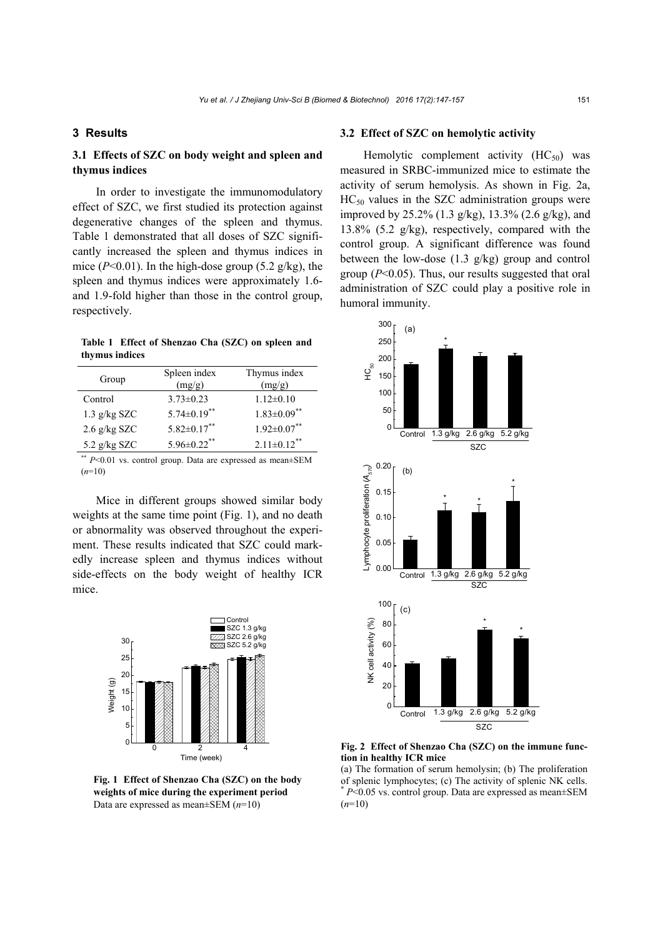## **3 Results**

## **3.1 Effects of SZC on body weight and spleen and thymus indices**

In order to investigate the immunomodulatory effect of SZC, we first studied its protection against degenerative changes of the spleen and thymus. Table 1 demonstrated that all doses of SZC significantly increased the spleen and thymus indices in mice  $(P<0.01)$ . In the high-dose group  $(5.2 \text{ g/kg})$ , the spleen and thymus indices were approximately 1.6 and 1.9-fold higher than those in the control group, respectively.

**Table 1 Effect of Shenzao Cha (SZC) on spleen and thymus indices** 

| Group          | Spleen index<br>(mg/g) | Thymus index<br>(mg/g)        |
|----------------|------------------------|-------------------------------|
| Control        | $3.73 \pm 0.23$        | $1.12\pm0.10$                 |
| $1.3$ g/kg SZC | $5.74 \pm 0.19$ **     | $1.83 \pm 0.09$ **            |
| 2.6 g/kg SZC   | $5.82\pm0.17**$        | $1.92 \pm 0.07$ **            |
| 5.2 $g/kg$ SZC | $5.96 \pm 0.22$ **     | $2.11 \pm 0.12$ <sup>**</sup> |

\*\* *P*<0.01 vs. control group. Data are expressed as mean±SEM (*n*=10)

Mice in different groups showed similar body weights at the same time point (Fig. 1), and no death or abnormality was observed throughout the experiment. These results indicated that SZC could markedly increase spleen and thymus indices without side-effects on the body weight of healthy ICR mice.



**Fig. 1 Effect of Shenzao Cha (SZC) on the body weights of mice during the experiment period**  Data are expressed as mean±SEM (*n*=10)

## **3.2 Effect of SZC on hemolytic activity**

Hemolytic complement activity  $(HC_{50})$  was measured in SRBC-immunized mice to estimate the activity of serum hemolysis. As shown in Fig. 2a,  $HC_{50}$  values in the SZC administration groups were improved by 25.2% (1.3 g/kg), 13.3% (2.6 g/kg), and 13.8% (5.2 g/kg), respectively, compared with the control group. A significant difference was found between the low-dose (1.3 g/kg) group and control group (*P*<0.05). Thus, our results suggested that oral administration of SZC could play a positive role in humoral immunity.



**Fig. 2 Effect of Shenzao Cha (SZC) on the immune function in healthy ICR mice** 

(a) The formation of serum hemolysin; (b) The proliferation of splenic lymphocytes; (c) The activity of splenic NK cells. *P*<0.05 vs. control group. Data are expressed as mean±SEM (*n*=10)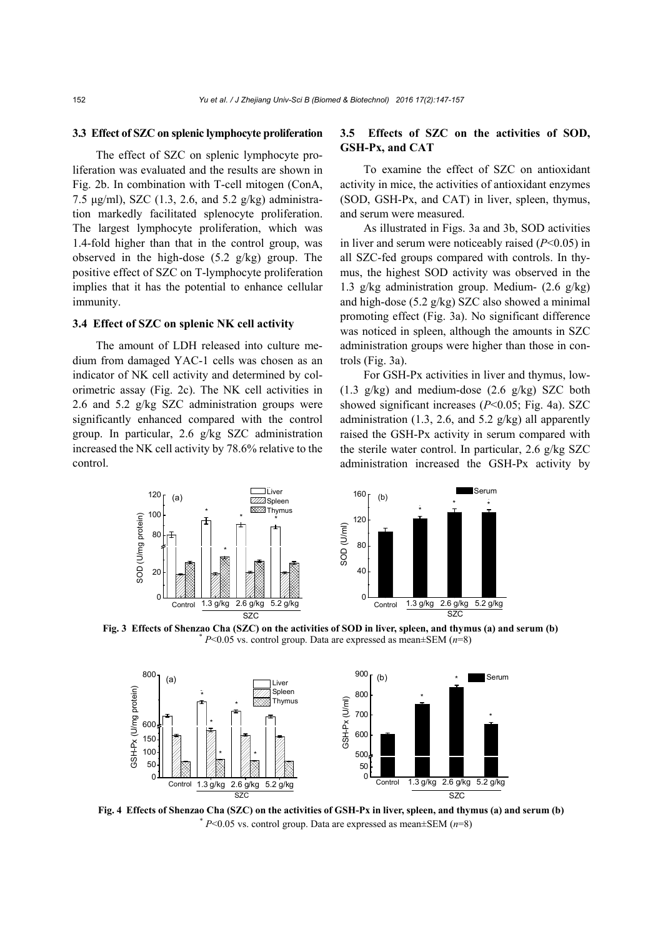#### **3.3 Effect of SZC on splenic lymphocyte proliferation**

The effect of SZC on splenic lymphocyte proliferation was evaluated and the results are shown in Fig. 2b. In combination with T-cell mitogen (ConA, 7.5 μg/ml), SZC (1.3, 2.6, and 5.2 g/kg) administration markedly facilitated splenocyte proliferation. The largest lymphocyte proliferation, which was 1.4-fold higher than that in the control group, was observed in the high-dose (5.2 g/kg) group. The positive effect of SZC on T-lymphocyte proliferation implies that it has the potential to enhance cellular immunity.

## **3.4 Effect of SZC on splenic NK cell activity**

The amount of LDH released into culture medium from damaged YAC-1 cells was chosen as an indicator of NK cell activity and determined by colorimetric assay (Fig. 2c). The NK cell activities in 2.6 and 5.2 g/kg SZC administration groups were significantly enhanced compared with the control group. In particular, 2.6 g/kg SZC administration increased the NK cell activity by 78.6% relative to the control.

## **3.5 Effects of SZC on the activities of SOD, GSH-Px, and CAT**

To examine the effect of SZC on antioxidant activity in mice, the activities of antioxidant enzymes (SOD, GSH-Px, and CAT) in liver, spleen, thymus, and serum were measured.

As illustrated in Figs. 3a and 3b, SOD activities in liver and serum were noticeably raised (*P*<0.05) in all SZC-fed groups compared with controls. In thymus, the highest SOD activity was observed in the 1.3 g/kg administration group. Medium- (2.6 g/kg) and high-dose (5.2 g/kg) SZC also showed a minimal promoting effect (Fig. 3a). No significant difference was noticed in spleen, although the amounts in SZC administration groups were higher than those in controls (Fig. 3a).

For GSH-Px activities in liver and thymus, low- (1.3 g/kg) and medium-dose (2.6 g/kg) SZC both showed significant increases (*P*<0.05; Fig. 4a). SZC administration (1.3, 2.6, and 5.2  $g/kg$ ) all apparently raised the GSH-Px activity in serum compared with the sterile water control. In particular, 2.6 g/kg SZC administration increased the GSH-Px activity by



**Fig. 3 Effects of Shenzao Cha (SZC) on the activities of SOD in liver, spleen, and thymus (a) and serum (b)**  $* P<0.05$  vs. control group. Data are expressed as mean $\pm$ SEM (*n*=8)



**Fig. 4 Effects of Shenzao Cha (SZC) on the activities of GSH-Px in liver, spleen, and thymus (a) and serum (b)** \* *P*<0.05 vs. control group. Data are expressed as mean±SEM (*n*=8)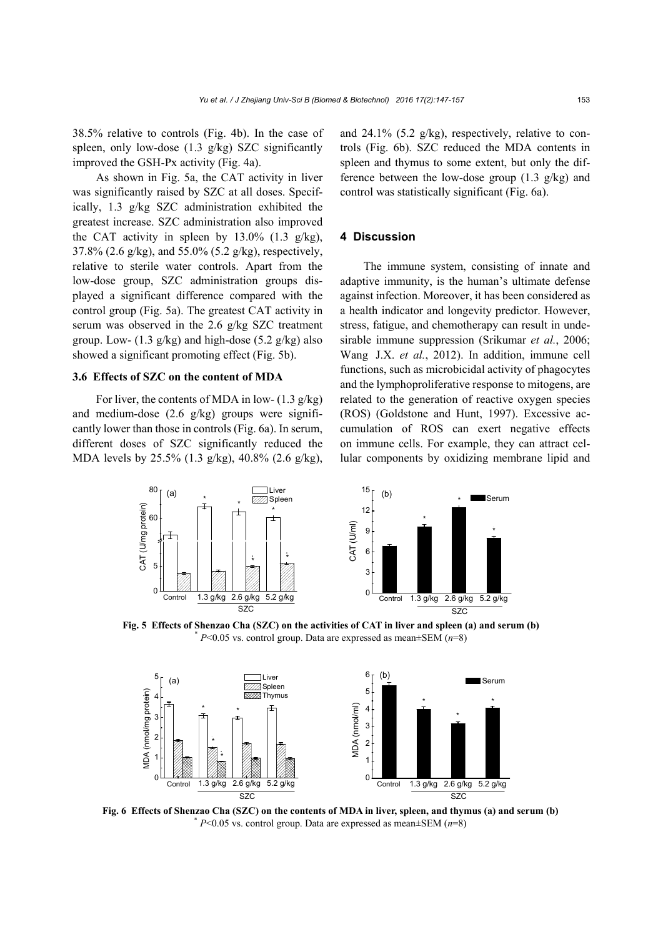38.5% relative to controls (Fig. 4b). In the case of spleen, only low-dose  $(1.3 \text{ g/kg})$  SZC significantly improved the GSH-Px activity (Fig. 4a).

As shown in Fig. 5a, the CAT activity in liver was significantly raised by SZC at all doses. Specifically, 1.3 g/kg SZC administration exhibited the greatest increase. SZC administration also improved the CAT activity in spleen by  $13.0\%$  (1.3 g/kg), 37.8% (2.6 g/kg), and 55.0% (5.2 g/kg), respectively, relative to sterile water controls. Apart from the low-dose group, SZC administration groups displayed a significant difference compared with the control group (Fig. 5a). The greatest CAT activity in serum was observed in the 2.6 g/kg SZC treatment group. Low-  $(1.3 \text{ g/kg})$  and high-dose  $(5.2 \text{ g/kg})$  also showed a significant promoting effect (Fig. 5b).

#### **3.6 Effects of SZC on the content of MDA**

For liver, the contents of MDA in low-  $(1.3 \text{ g/kg})$ and medium-dose (2.6 g/kg) groups were significantly lower than those in controls (Fig. 6a). In serum, different doses of SZC significantly reduced the MDA levels by 25.5% (1.3 g/kg), 40.8% (2.6 g/kg), and 24.1% (5.2 g/kg), respectively, relative to controls (Fig. 6b). SZC reduced the MDA contents in spleen and thymus to some extent, but only the difference between the low-dose group  $(1.3 \text{ g/kg})$  and control was statistically significant (Fig. 6a).

## **4 Discussion**

The immune system, consisting of innate and adaptive immunity, is the human's ultimate defense against infection. Moreover, it has been considered as a health indicator and longevity predictor. However, stress, fatigue, and chemotherapy can result in undesirable immune suppression (Srikumar *et al.*, 2006; Wang J.X. *et al.*, 2012). In addition, immune cell functions, such as microbicidal activity of phagocytes and the lymphoproliferative response to mitogens, are related to the generation of reactive oxygen species (ROS) (Goldstone and Hunt, 1997). Excessive accumulation of ROS can exert negative effects on immune cells. For example, they can attract cellular components by oxidizing membrane lipid and



**Fig. 5 Effects of Shenzao Cha (SZC) on the activities of CAT in liver and spleen (a) and serum (b)**  $P$ <0.05 vs. control group. Data are expressed as mean $\pm$ SEM (*n*=8)



**Fig. 6 Effects of Shenzao Cha (SZC) on the contents of MDA in liver, spleen, and thymus (a) and serum (b)** \* *P*<0.05 vs. control group. Data are expressed as mean±SEM (*n*=8)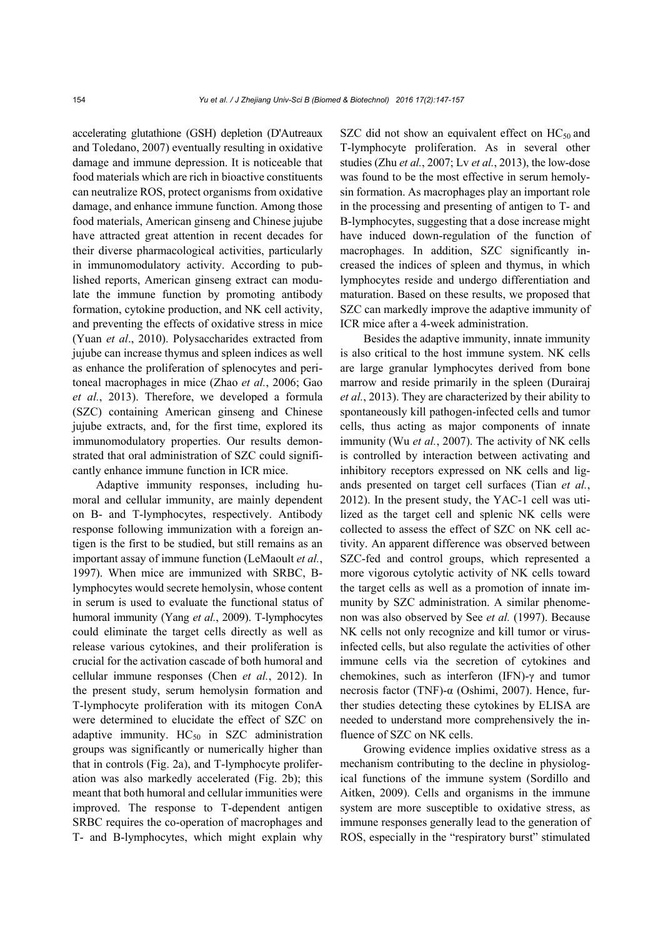accelerating glutathione (GSH) depletion (D'Autreaux and Toledano, 2007) eventually resulting in oxidative damage and immune depression. It is noticeable that food materials which are rich in bioactive constituents can neutralize ROS, protect organisms from oxidative damage, and enhance immune function. Among those food materials, American ginseng and Chinese jujube have attracted great attention in recent decades for their diverse pharmacological activities, particularly in immunomodulatory activity. According to published reports, American ginseng extract can modulate the immune function by promoting antibody formation, cytokine production, and NK cell activity, and preventing the effects of oxidative stress in mice (Yuan *et al*., 2010). Polysaccharides extracted from jujube can increase thymus and spleen indices as well as enhance the proliferation of splenocytes and peritoneal macrophages in mice (Zhao *et al.*, 2006; Gao *et al.*, 2013). Therefore, we developed a formula (SZC) containing American ginseng and Chinese jujube extracts, and, for the first time, explored its immunomodulatory properties. Our results demonstrated that oral administration of SZC could significantly enhance immune function in ICR mice.

Adaptive immunity responses, including humoral and cellular immunity, are mainly dependent on B- and T-lymphocytes, respectively. Antibody response following immunization with a foreign antigen is the first to be studied, but still remains as an important assay of immune function (LeMaoult *et al.*, 1997). When mice are immunized with SRBC, Blymphocytes would secrete hemolysin, whose content in serum is used to evaluate the functional status of humoral immunity (Yang *et al.*, 2009). T-lymphocytes could eliminate the target cells directly as well as release various cytokines, and their proliferation is crucial for the activation cascade of both humoral and cellular immune responses (Chen *et al.*, 2012). In the present study, serum hemolysin formation and T-lymphocyte proliferation with its mitogen ConA were determined to elucidate the effect of SZC on adaptive immunity.  $HC_{50}$  in SZC administration groups was significantly or numerically higher than that in controls (Fig. 2a), and T-lymphocyte proliferation was also markedly accelerated (Fig. 2b); this meant that both humoral and cellular immunities were improved. The response to T-dependent antigen SRBC requires the co-operation of macrophages and T- and B-lymphocytes, which might explain why

SZC did not show an equivalent effect on  $HC_{50}$  and T-lymphocyte proliferation. As in several other studies (Zhu *et al.*, 2007; Lv *et al.*, 2013), the low-dose was found to be the most effective in serum hemolysin formation. As macrophages play an important role in the processing and presenting of antigen to T- and B-lymphocytes, suggesting that a dose increase might have induced down-regulation of the function of macrophages. In addition, SZC significantly increased the indices of spleen and thymus, in which lymphocytes reside and undergo differentiation and maturation. Based on these results, we proposed that SZC can markedly improve the adaptive immunity of ICR mice after a 4-week administration.

Besides the adaptive immunity, innate immunity is also critical to the host immune system. NK cells are large granular lymphocytes derived from bone marrow and reside primarily in the spleen (Durairaj *et al.*, 2013). They are characterized by their ability to spontaneously kill pathogen-infected cells and tumor cells, thus acting as major components of innate immunity (Wu *et al.*, 2007). The activity of NK cells is controlled by interaction between activating and inhibitory receptors expressed on NK cells and ligands presented on target cell surfaces (Tian *et al.*, 2012). In the present study, the YAC-1 cell was utilized as the target cell and splenic NK cells were collected to assess the effect of SZC on NK cell activity. An apparent difference was observed between SZC-fed and control groups, which represented a more vigorous cytolytic activity of NK cells toward the target cells as well as a promotion of innate immunity by SZC administration. A similar phenomenon was also observed by See *et al.* (1997). Because NK cells not only recognize and kill tumor or virusinfected cells, but also regulate the activities of other immune cells via the secretion of cytokines and chemokines, such as interferon (IFN)-γ and tumor necrosis factor (TNF)-α (Oshimi, 2007). Hence, further studies detecting these cytokines by ELISA are needed to understand more comprehensively the influence of SZC on NK cells.

Growing evidence implies oxidative stress as a mechanism contributing to the decline in physiological functions of the immune system (Sordillo and Aitken, 2009). Cells and organisms in the immune system are more susceptible to oxidative stress, as immune responses generally lead to the generation of ROS, especially in the "respiratory burst" stimulated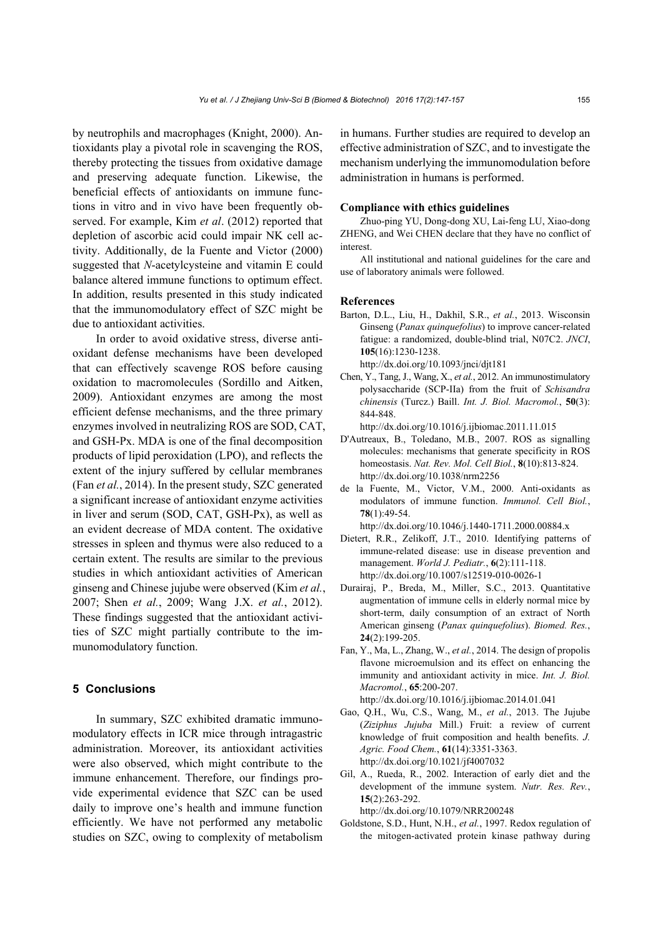by neutrophils and macrophages (Knight, 2000). Antioxidants play a pivotal role in scavenging the ROS, thereby protecting the tissues from oxidative damage and preserving adequate function. Likewise, the beneficial effects of antioxidants on immune functions in vitro and in vivo have been frequently observed. For example, Kim *et al*. (2012) reported that depletion of ascorbic acid could impair NK cell activity. Additionally, de la Fuente and Victor (2000) suggested that *N*-acetylcysteine and vitamin E could balance altered immune functions to optimum effect. In addition, results presented in this study indicated that the immunomodulatory effect of SZC might be due to antioxidant activities.

In order to avoid oxidative stress, diverse antioxidant defense mechanisms have been developed that can effectively scavenge ROS before causing oxidation to macromolecules (Sordillo and Aitken, 2009). Antioxidant enzymes are among the most efficient defense mechanisms, and the three primary enzymes involved in neutralizing ROS are SOD, CAT, and GSH-Px. MDA is one of the final decomposition products of lipid peroxidation (LPO), and reflects the extent of the injury suffered by cellular membranes (Fan *et al.*, 2014). In the present study, SZC generated a significant increase of antioxidant enzyme activities in liver and serum (SOD, CAT, GSH-Px), as well as an evident decrease of MDA content. The oxidative stresses in spleen and thymus were also reduced to a certain extent. The results are similar to the previous studies in which antioxidant activities of American ginseng and Chinese jujube were observed (Kim *et al.*, 2007; Shen *et al.*, 2009; Wang J.X. *et al.*, 2012). These findings suggested that the antioxidant activities of SZC might partially contribute to the immunomodulatory function.

## **5 Conclusions**

In summary, SZC exhibited dramatic immunomodulatory effects in ICR mice through intragastric administration. Moreover, its antioxidant activities were also observed, which might contribute to the immune enhancement. Therefore, our findings provide experimental evidence that SZC can be used daily to improve one's health and immune function efficiently. We have not performed any metabolic studies on SZC, owing to complexity of metabolism in humans. Further studies are required to develop an effective administration of SZC, and to investigate the mechanism underlying the immunomodulation before administration in humans is performed.

#### **Compliance with ethics guidelines**

Zhuo-ping YU, Dong-dong XU, Lai-feng LU, Xiao-dong ZHENG, and Wei CHEN declare that they have no conflict of interest.

All institutional and national guidelines for the care and use of laboratory animals were followed.

#### **References**

Barton, D.L., Liu, H., Dakhil, S.R., *et al.*, 2013. Wisconsin Ginseng (*Panax quinquefolius*) to improve cancer-related fatigue: a randomized, double-blind trial, N07C2. *JNCI*, **105**(16):1230-1238.

http://dx.doi.org/10.1093/jnci/djt181

Chen, Y., Tang, J., Wang, X., *et al.*, 2012. An immunostimulatory polysaccharide (SCP-IIa) from the fruit of *Schisandra chinensis* (Turcz.) Baill. *Int. J. Biol. Macromol.*, **50**(3): 844-848.

http://dx.doi.org/10.1016/j.ijbiomac.2011.11.015

- D'Autreaux, B., Toledano, M.B., 2007. ROS as signalling molecules: mechanisms that generate specificity in ROS homeostasis. *Nat. Rev. Mol. Cell Biol.*, **8**(10):813-824. http://dx.doi.org/10.1038/nrm2256
- de la Fuente, M., Victor, V.M., 2000. Anti-oxidants as modulators of immune function. *Immunol. Cell Biol.*, **78**(1):49-54.
- http://dx.doi.org/10.1046/j.1440-1711.2000.00884.x Dietert, R.R., Zelikoff, J.T., 2010. Identifying patterns of immune-related disease: use in disease prevention and management. *World J. Pediatr.*, **6**(2):111-118. http://dx.doi.org/10.1007/s12519-010-0026-1
- Durairaj, P., Breda, M., Miller, S.C., 2013. Quantitative augmentation of immune cells in elderly normal mice by short-term, daily consumption of an extract of North American ginseng (*Panax quinquefolius*). *Biomed. Res.*, **24**(2):199-205.
- Fan, Y., Ma, L., Zhang, W., *et al.*, 2014. The design of propolis flavone microemulsion and its effect on enhancing the immunity and antioxidant activity in mice. *Int. J. Biol. Macromol.*, **65**:200-207.
	- http://dx.doi.org/10.1016/j.ijbiomac.2014.01.041
- Gao, Q.H., Wu, C.S., Wang, M., *et al.*, 2013. The Jujube (*Ziziphus Jujuba* Mill.) Fruit: a review of current knowledge of fruit composition and health benefits. *J. Agric. Food Chem.*, **61**(14):3351-3363. http://dx.doi.org/10.1021/jf4007032
- Gil, A., Rueda, R., 2002. Interaction of early diet and the development of the immune system. *Nutr. Res. Rev.*, **15**(2):263-292.

http://dx.doi.org/10.1079/NRR200248

Goldstone, S.D., Hunt, N.H., *et al.*, 1997. Redox regulation of the mitogen-activated protein kinase pathway during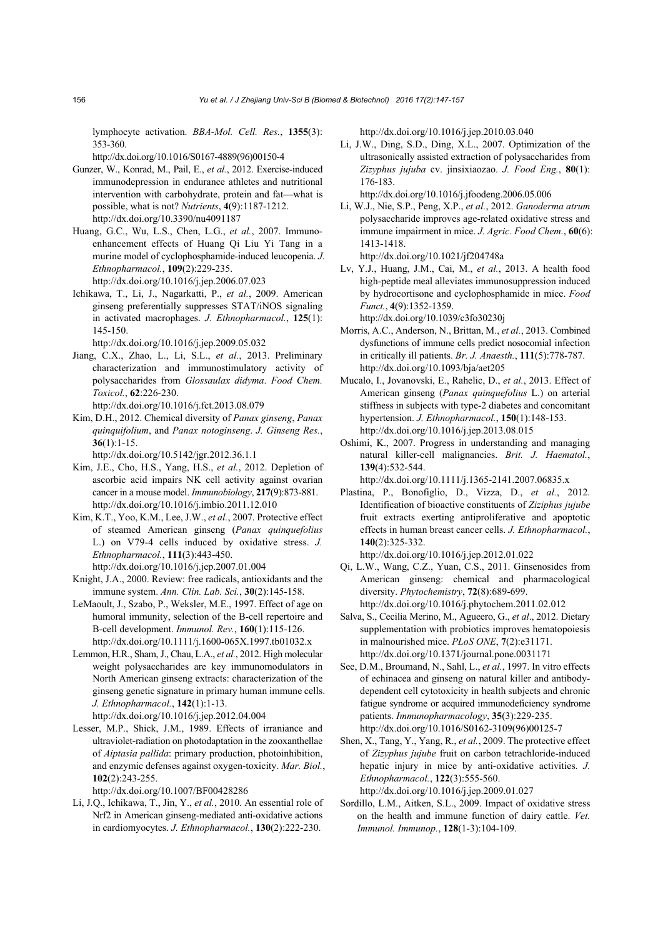lymphocyte activation. *BBA-Mol. Cell. Res.*, **1355**(3): 353-360.

http://dx.doi.org/10.1016/S0167-4889(96)00150-4

- Gunzer, W., Konrad, M., Pail, E., *et al.*, 2012. Exercise-induced immunodepression in endurance athletes and nutritional intervention with carbohydrate, protein and fat—what is possible, what is not? *Nutrients*, **4**(9):1187-1212. http://dx.doi.org/10.3390/nu4091187
- Huang, G.C., Wu, L.S., Chen, L.G., *et al.*, 2007. Immunoenhancement effects of Huang Qi Liu Yi Tang in a murine model of cyclophosphamide-induced leucopenia. *J. Ethnopharmacol.*, **109**(2):229-235. http://dx.doi.org/10.1016/j.jep.2006.07.023
- Ichikawa, T., Li, J., Nagarkatti, P., *et al.*, 2009. American ginseng preferentially suppresses STAT/iNOS signaling in activated macrophages. *J. Ethnopharmacol.*, **125**(1): 145-150.

http://dx.doi.org/10.1016/j.jep.2009.05.032

- Jiang, C.X., Zhao, L., Li, S.L., *et al.*, 2013. Preliminary characterization and immunostimulatory activity of polysaccharides from *Glossaulax didyma*. *Food Chem. Toxicol.*, **62**:226-230.
	- http://dx.doi.org/10.1016/j.fct.2013.08.079
- Kim, D.H., 2012. Chemical diversity of *Panax ginseng*, *Panax quinquifolium*, and *Panax notoginseng*. *J. Ginseng Res.*, **36**(1):1-15.

http://dx.doi.org/10.5142/jgr.2012.36.1.1

- Kim, J.E., Cho, H.S., Yang, H.S., *et al.*, 2012. Depletion of ascorbic acid impairs NK cell activity against ovarian cancer in a mouse model. *Immunobiology*, **217**(9):873-881. http://dx.doi.org/10.1016/j.imbio.2011.12.010
- Kim, K.T., Yoo, K.M., Lee, J.W., *et al.*, 2007. Protective effect of steamed American ginseng (*Panax quinquefolius* L.) on V79-4 cells induced by oxidative stress. *J. Ethnopharmacol.*, **111**(3):443-450. http://dx.doi.org/10.1016/j.jep.2007.01.004
- Knight, J.A., 2000. Review: free radicals, antioxidants and the immune system. *Ann. Clin. Lab. Sci.*, **30**(2):145-158.
- LeMaoult, J., Szabo, P., Weksler, M.E., 1997. Effect of age on humoral immunity, selection of the B-cell repertoire and B-cell development. *Immunol. Rev.*, **160**(1):115-126. http://dx.doi.org/10.1111/j.1600-065X.1997.tb01032.x
- Lemmon, H.R., Sham, J., Chau, L.A., *et al.*, 2012. High molecular weight polysaccharides are key immunomodulators in North American ginseng extracts: characterization of the ginseng genetic signature in primary human immune cells. *J. Ethnopharmacol.*, **142**(1):1-13. http://dx.doi.org/10.1016/j.jep.2012.04.004
- Lesser, M.P., Shick, J.M., 1989. Effects of irraniance and ultraviolet-radiation on photodaptation in the zooxanthellae of *Aiptasia pallida*: primary production, photoinhibition, and enzymic defenses against oxygen-toxicity. *Mar. Biol.*, **102**(2):243-255.

http://dx.doi.org/10.1007/BF00428286

Li, J.Q., Ichikawa, T., Jin, Y., *et al.*, 2010. An essential role of Nrf2 in American ginseng-mediated anti-oxidative actions in cardiomyocytes. *J. Ethnopharmacol.*, **130**(2):222-230.

http://dx.doi.org/10.1016/j.jep.2010.03.040

Li, J.W., Ding, S.D., Ding, X.L., 2007. Optimization of the ultrasonically assisted extraction of polysaccharides from *Zizyphus jujuba* cv. jinsixiaozao. *J. Food Eng.*, **80**(1): 176-183.

http://dx.doi.org/10.1016/j.jfoodeng.2006.05.006

Li, W.J., Nie, S.P., Peng, X.P., *et al.*, 2012. *Ganoderma atrum* polysaccharide improves age-related oxidative stress and immune impairment in mice. *J. Agric. Food Chem.*, **60**(6): 1413-1418.

http://dx.doi.org/10.1021/jf204748a

- Lv, Y.J., Huang, J.M., Cai, M., *et al.*, 2013. A health food high-peptide meal alleviates immunosuppression induced by hydrocortisone and cyclophosphamide in mice. *Food Funct.*, **4**(9):1352-1359. http://dx.doi.org/10.1039/c3fo30230j
- Morris, A.C., Anderson, N., Brittan, M., *et al.*, 2013. Combined dysfunctions of immune cells predict nosocomial infection in critically ill patients. *Br. J. Anaesth.*, **111**(5):778-787. http://dx.doi.org/10.1093/bja/aet205
- Mucalo, I., Jovanovski, E., Rahelic, D., *et al.*, 2013. Effect of American ginseng (*Panax quinquefolius* L.) on arterial stiffness in subjects with type-2 diabetes and concomitant hypertension. *J. Ethnopharmacol.*, **150**(1):148-153. http://dx.doi.org/10.1016/j.jep.2013.08.015
- Oshimi, K., 2007. Progress in understanding and managing natural killer-cell malignancies. *Brit. J. Haematol.*, **139**(4):532-544.

http://dx.doi.org/10.1111/j.1365-2141.2007.06835.x

- Plastina, P., Bonofiglio, D., Vizza, D., *et al.*, 2012. Identification of bioactive constituents of *Ziziphus jujube* fruit extracts exerting antiproliferative and apoptotic effects in human breast cancer cells. *J. Ethnopharmacol.*, **140**(2):325-332. http://dx.doi.org/10.1016/j.jep.2012.01.022
- Qi, L.W., Wang, C.Z., Yuan, C.S., 2011. Ginsenosides from American ginseng: chemical and pharmacological diversity. *Phytochemistry*, **72**(8):689-699. http://dx.doi.org/10.1016/j.phytochem.2011.02.012
- Salva, S., Cecilia Merino, M., Agueero, G., *et al*., 2012. Dietary supplementation with probiotics improves hematopoiesis in malnourished mice. *PLoS ONE*, **7**(2):e31171. http://dx.doi.org/10.1371/journal.pone.0031171
- See, D.M., Broumand, N., Sahl, L., *et al.*, 1997. In vitro effects of echinacea and ginseng on natural killer and antibodydependent cell cytotoxicity in health subjects and chronic fatigue syndrome or acquired immunodeficiency syndrome patients. *Immunopharmacology*, **35**(3):229-235. http://dx.doi.org/10.1016/S0162-3109(96)00125-7
- Shen, X., Tang, Y., Yang, R., *et al.*, 2009. The protective effect of *Zizyphus jujube* fruit on carbon tetrachloride-induced hepatic injury in mice by anti-oxidative activities. *J. Ethnopharmacol.*, **122**(3):555-560. http://dx.doi.org/10.1016/j.jep.2009.01.027
- Sordillo, L.M., Aitken, S.L., 2009. Impact of oxidative stress on the health and immune function of dairy cattle. *Vet. Immunol. Immunop.*, **128**(1-3):104-109.